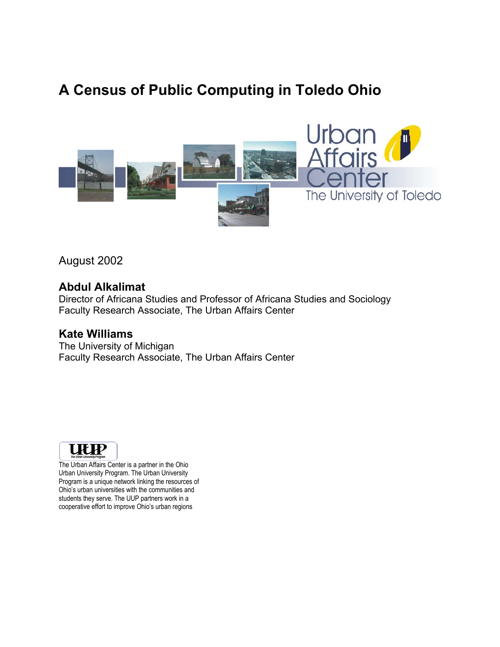# **A Census of Public Computing in Toledo Ohio**



August 2002

### **Abdul Alkalimat**

Director of Africana Studies and Professor of Africana Studies and Sociology Faculty Research Associate, The Urban Affairs Center

### **Kate Williams**

The University of Michigan Faculty Research Associate, The Urban Affairs Center



The Urban Affairs Center is a partner in the Ohio Urban University Program. The Urban University Program is a unique network linking the resources of Ohio's urban universities with the communities and students they serve. The UUP partners work in a cooperative effort to improve Ohio's urban regions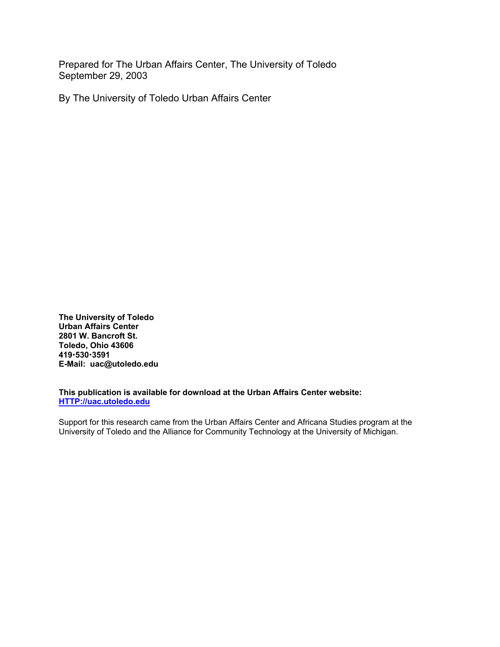Prepared for The Urban Affairs Center, The University of Toledo September 29, 2003

By The University of Toledo Urban Affairs Center

**The University of Toledo Urban Affairs Center 2801 W. Bancroft St. Toledo, Ohio 43606 419**x**530**x**3591 E-Mail: uac@utoledo.edu** 

**This publication is available for download at the Urban Affairs Center website: HTTP://uac.utoledo.edu**

Support for this research came from the Urban Affairs Center and Africana Studies program at the University of Toledo and the Alliance for Community Technology at the University of Michigan.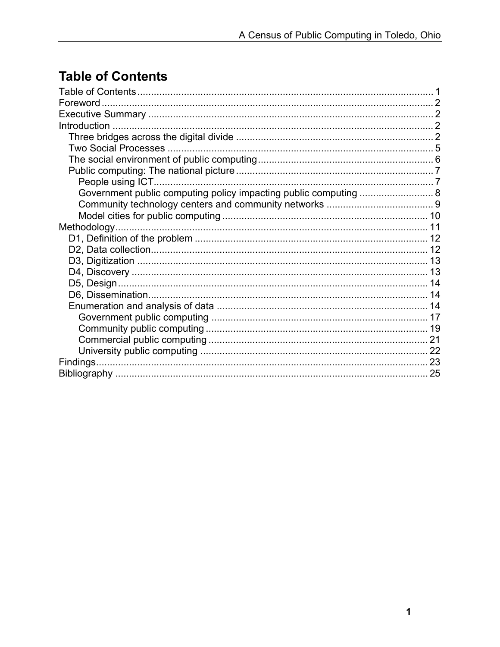# **Table of Contents**

| Government public computing policy impacting public computing  8 |  |
|------------------------------------------------------------------|--|
|                                                                  |  |
|                                                                  |  |
|                                                                  |  |
|                                                                  |  |
|                                                                  |  |
|                                                                  |  |
|                                                                  |  |
|                                                                  |  |
|                                                                  |  |
|                                                                  |  |
|                                                                  |  |
|                                                                  |  |
|                                                                  |  |
|                                                                  |  |
|                                                                  |  |
|                                                                  |  |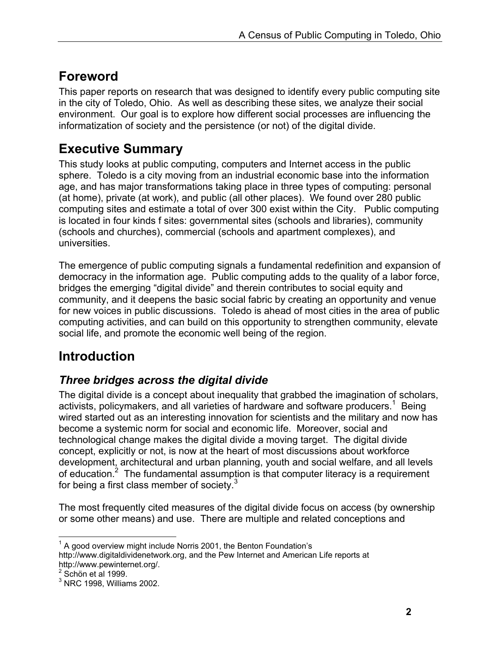# **Foreword**

This paper reports on research that was designed to identify every public computing site in the city of Toledo, Ohio. As well as describing these sites, we analyze their social environment. Our goal is to explore how different social processes are influencing the informatization of society and the persistence (or not) of the digital divide.

# **Executive Summary**

This study looks at public computing, computers and Internet access in the public sphere. Toledo is a city moving from an industrial economic base into the information age, and has major transformations taking place in three types of computing: personal (at home), private (at work), and public (all other places). We found over 280 public computing sites and estimate a total of over 300 exist within the City. Public computing is located in four kinds f sites: governmental sites (schools and libraries), community (schools and churches), commercial (schools and apartment complexes), and universities.

The emergence of public computing signals a fundamental redefinition and expansion of democracy in the information age. Public computing adds to the quality of a labor force, bridges the emerging "digital divide" and therein contributes to social equity and community, and it deepens the basic social fabric by creating an opportunity and venue for new voices in public discussions. Toledo is ahead of most cities in the area of public computing activities, and can build on this opportunity to strengthen community, elevate social life, and promote the economic well being of the region.

# **Introduction**

## *Three bridges across the digital divide*

The digital divide is a concept about inequality that grabbed the imagination of scholars, activists, policymakers, and all varieties of hardware and software producers.<sup>1</sup> Being wired started out as an interesting innovation for scientists and the military and now has become a systemic norm for social and economic life. Moreover, social and technological change makes the digital divide a moving target. The digital divide concept, explicitly or not, is now at the heart of most discussions about workforce development, architectural and urban planning, youth and social welfare, and all levels of education.<sup>2</sup> The fundamental assumption is that computer literacy is a requirement for being a first class member of society. $3$ 

The most frequently cited measures of the digital divide focus on access (by ownership or some other means) and use. There are multiple and related conceptions and

 $\overline{a}$  $1$  A good overview might include Norris 2001, the Benton Foundation's http://www.digitaldividenetwork.org, and the Pew Internet and American Life reports at http://www.pewinternet.org/.

 $2$  Schön et al 1999.

 $3$  NRC 1998, Williams 2002.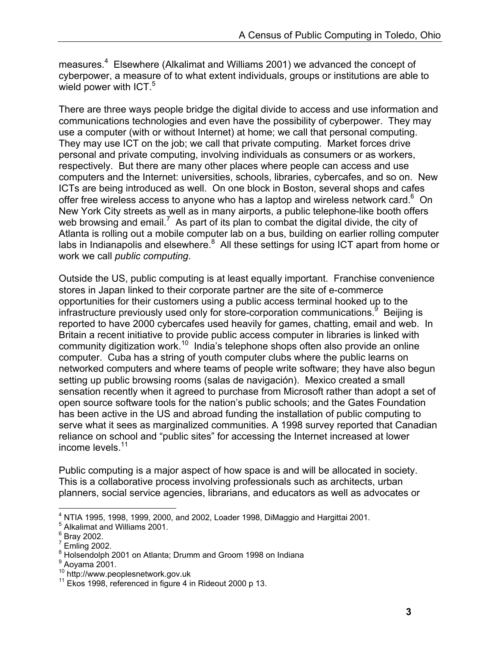measures.<sup>4</sup> Elsewhere (Alkalimat and Williams 2001) we advanced the concept of cyberpower, a measure of to what extent individuals, groups or institutions are able to wield power with ICT.<sup>5</sup>

There are three ways people bridge the digital divide to access and use information and communications technologies and even have the possibility of cyberpower. They may use a computer (with or without Internet) at home; we call that personal computing. They may use ICT on the job; we call that private computing. Market forces drive personal and private computing, involving individuals as consumers or as workers, respectively. But there are many other places where people can access and use computers and the Internet: universities, schools, libraries, cybercafes, and so on. New ICTs are being introduced as well. On one block in Boston, several shops and cafes offer free wireless access to anyone who has a laptop and wireless network card. $6$  On New York City streets as well as in many airports, a public telephone-like booth offers web browsing and email.<sup>7</sup> As part of its plan to combat the digital divide, the city of Atlanta is rolling out a mobile computer lab on a bus, building on earlier rolling computer labs in Indianapolis and elsewhere. $8$  All these settings for using ICT apart from home or work we call *public computing*.

Outside the US, public computing is at least equally important. Franchise convenience stores in Japan linked to their corporate partner are the site of e-commerce opportunities for their customers using a public access terminal hooked up to the infrastructure previously used only for store-corporation communications.<sup>9</sup> Beijing is reported to have 2000 cybercafes used heavily for games, chatting, email and web. In Britain a recent initiative to provide public access computer in libraries is linked with community digitization work.<sup>10</sup> India's telephone shops often also provide an online computer. Cuba has a string of youth computer clubs where the public learns on networked computers and where teams of people write software; they have also begun setting up public browsing rooms (salas de navigación). Mexico created a small sensation recently when it agreed to purchase from Microsoft rather than adopt a set of open source software tools for the nation's public schools; and the Gates Foundation has been active in the US and abroad funding the installation of public computing to serve what it sees as marginalized communities. A 1998 survey reported that Canadian reliance on school and "public sites" for accessing the Internet increased at lower income levels.<sup>11</sup>

Public computing is a major aspect of how space is and will be allocated in society. This is a collaborative process involving professionals such as architects, urban planners, social service agencies, librarians, and educators as well as advocates or

 4 NTIA 1995, 1998, 1999, 2000, and 2002, Loader 1998, DiMaggio and Hargittai 2001.

<sup>&</sup>lt;sup>5</sup> Alkalimat and Williams 2001.

<sup>&</sup>lt;sup>6</sup> Bray 2002.

<sup>7</sup> Emling 2002.

<sup>8</sup> Holsendolph 2001 on Atlanta; Drumm and Groom 1998 on Indiana

 $^9$  Aoyama 2001.

 $10$  http://www.peoplesnetwork.gov.uk<br> $11$  Ekos 1998, referenced in figure 4 in Rideout 2000 p 13.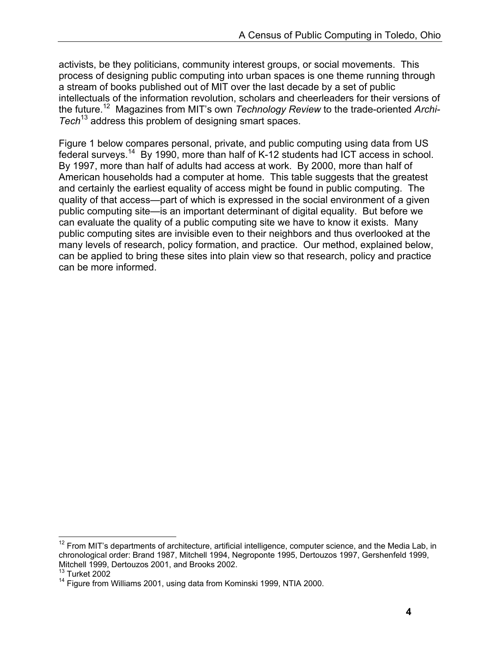activists, be they politicians, community interest groups, or social movements. This process of designing public computing into urban spaces is one theme running through a stream of books published out of MIT over the last decade by a set of public intellectuals of the information revolution, scholars and cheerleaders for their versions of the future.12 Magazines from MIT's own *Technology Review* to the trade-oriented *Archi-Tech*13 address this problem of designing smart spaces.

Figure 1 below compares personal, private, and public computing using data from US federal surveys.14 By 1990, more than half of K-12 students had ICT access in school. By 1997, more than half of adults had access at work. By 2000, more than half of American households had a computer at home. This table suggests that the greatest and certainly the earliest equality of access might be found in public computing. The quality of that access—part of which is expressed in the social environment of a given public computing site—is an important determinant of digital equality. But before we can evaluate the quality of a public computing site we have to know it exists. Many public computing sites are invisible even to their neighbors and thus overlooked at the many levels of research, policy formation, and practice. Our method, explained below, can be applied to bring these sites into plain view so that research, policy and practice can be more informed.

1

 $12$  From MIT's departments of architecture, artificial intelligence, computer science, and the Media Lab, in chronological order: Brand 1987, Mitchell 1994, Negroponte 1995, Dertouzos 1997, Gershenfeld 1999, Mitchell 1999, Dertouzos 2001, and Brooks 2002.

 $13$  Turket 2002

<sup>&</sup>lt;sup>14</sup> Figure from Williams 2001, using data from Kominski 1999, NTIA 2000.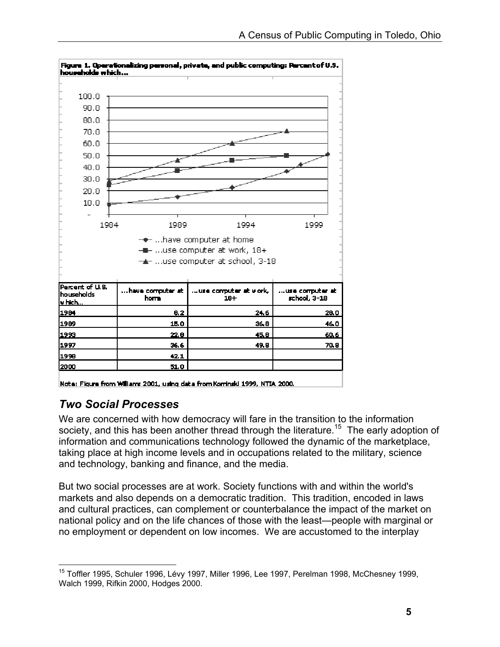

Figure 1. Operationalizing personal, private, and public computing: Percent of U.S.

## *Two Social Processes*

We are concerned with how democracy will fare in the transition to the information society, and this has been another thread through the literature.<sup>15</sup> The early adoption of information and communications technology followed the dynamic of the marketplace, taking place at high income levels and in occupations related to the military, science and technology, banking and finance, and the media.

But two social processes are at work. Society functions with and within the world's markets and also depends on a democratic tradition. This tradition, encoded in laws and cultural practices, can complement or counterbalance the impact of the market on national policy and on the life chances of those with the least—people with marginal or no employment or dependent on low incomes. We are accustomed to the interplay

Note: Figure from Williams 2001, using data from Kominski 1999, NTIA 2000.

 $\overline{a}$ <sup>15</sup> Toffler 1995, Schuler 1996, Lévy 1997, Miller 1996, Lee 1997, Perelman 1998, McChesney 1999, Walch 1999, Rifkin 2000, Hodges 2000.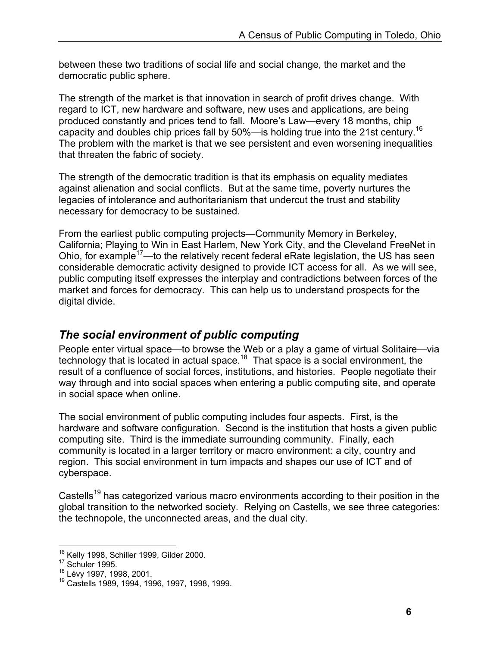between these two traditions of social life and social change, the market and the democratic public sphere.

The strength of the market is that innovation in search of profit drives change. With regard to ICT, new hardware and software, new uses and applications, are being produced constantly and prices tend to fall. Moore's Law—every 18 months, chip capacity and doubles chip prices fall by 50%—is holding true into the 21st century.16 The problem with the market is that we see persistent and even worsening inequalities that threaten the fabric of society.

The strength of the democratic tradition is that its emphasis on equality mediates against alienation and social conflicts. But at the same time, poverty nurtures the legacies of intolerance and authoritarianism that undercut the trust and stability necessary for democracy to be sustained.

From the earliest public computing projects—Community Memory in Berkeley, California; Playing to Win in East Harlem, New York City, and the Cleveland FreeNet in Ohio, for example<sup>17</sup>—to the relatively recent federal eRate legislation, the US has seen considerable democratic activity designed to provide ICT access for all. As we will see, public computing itself expresses the interplay and contradictions between forces of the market and forces for democracy. This can help us to understand prospects for the digital divide.

### *The social environment of public computing*

People enter virtual space—to browse the Web or a play a game of virtual Solitaire—via technology that is located in actual space.<sup>18</sup> That space is a social environment, the result of a confluence of social forces, institutions, and histories. People negotiate their way through and into social spaces when entering a public computing site, and operate in social space when online.

The social environment of public computing includes four aspects. First, is the hardware and software configuration. Second is the institution that hosts a given public computing site. Third is the immediate surrounding community. Finally, each community is located in a larger territory or macro environment: a city, country and region. This social environment in turn impacts and shapes our use of ICT and of cyberspace.

Castells<sup>19</sup> has categorized various macro environments according to their position in the global transition to the networked society. Relying on Castells, we see three categories: the technopole, the unconnected areas, and the dual city.

 $\overline{a}$ <sup>16</sup> Kelly 1998, Schiller 1999, Gilder 2000.<br><sup>17</sup> Schuler 1995.

<sup>18</sup> Dénaire, 1997, 1998, 2001.<br><sup>18</sup> Castells 1989, 1994, 1996, 1997, 1998, 1999.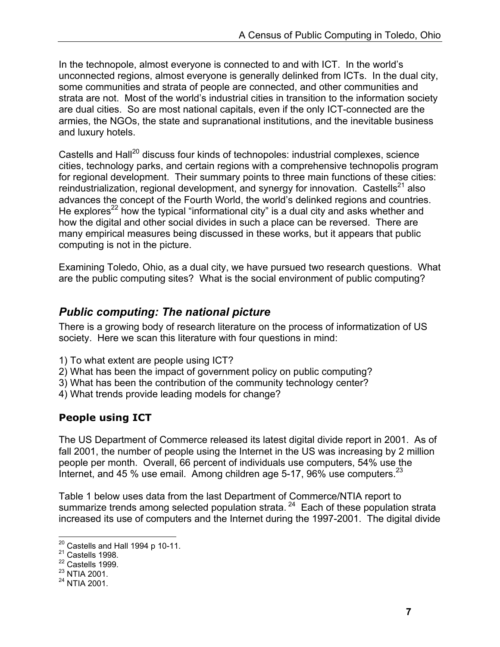In the technopole, almost everyone is connected to and with ICT. In the world's unconnected regions, almost everyone is generally delinked from ICTs. In the dual city, some communities and strata of people are connected, and other communities and strata are not. Most of the world's industrial cities in transition to the information society are dual cities. So are most national capitals, even if the only ICT-connected are the armies, the NGOs, the state and supranational institutions, and the inevitable business and luxury hotels.

Castells and Hall<sup>20</sup> discuss four kinds of technopoles: industrial complexes, science cities, technology parks, and certain regions with a comprehensive technopolis program for regional development. Their summary points to three main functions of these cities: reindustrialization, regional development, and synergy for innovation. Castells<sup>21</sup> also advances the concept of the Fourth World, the world's delinked regions and countries. He explores<sup>22</sup> how the typical "informational city" is a dual city and asks whether and how the digital and other social divides in such a place can be reversed. There are many empirical measures being discussed in these works, but it appears that public computing is not in the picture.

Examining Toledo, Ohio, as a dual city, we have pursued two research questions. What are the public computing sites? What is the social environment of public computing?

### *Public computing: The national picture*

There is a growing body of research literature on the process of informatization of US society. Here we scan this literature with four questions in mind:

- 1) To what extent are people using ICT?
- 2) What has been the impact of government policy on public computing?
- 3) What has been the contribution of the community technology center?
- 4) What trends provide leading models for change?

### **People using ICT**

The US Department of Commerce released its latest digital divide report in 2001. As of fall 2001, the number of people using the Internet in the US was increasing by 2 million people per month. Overall, 66 percent of individuals use computers, 54% use the Internet, and 45 % use email. Among children age  $5-17$ , 96% use computers.  $23$ 

Table 1 below uses data from the last Department of Commerce/NTIA report to summarize trends among selected population strata.  $24$  Each of these population strata increased its use of computers and the Internet during the 1997-2001. The digital divide

 $\overline{a}$ <sup>20</sup> Castells and Hall 1994 p 10-11.<br><sup>21</sup> Castells 1998.

 $22$  Castells 1999.

<sup>23</sup> NTIA 2001.

<sup>24</sup> NTIA 2001.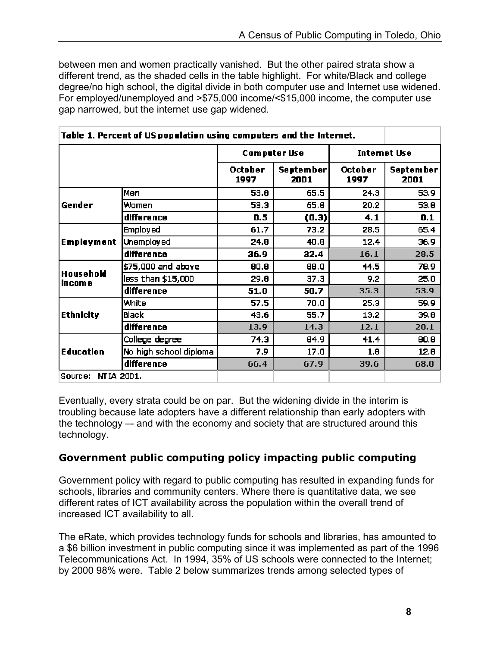between men and women practically vanished. But the other paired strata show a different trend, as the shaded cells in the table highlight. For white/Black and college degree/no high school, the digital divide in both computer use and Internet use widened. For employed/unemployed and >\$75,000 income/<\$15,000 income, the computer use gap narrowed, but the internet use gap widened.

| Table 1. Percent of US population using computers and the Internet. |                        |                     |                          |                     |                          |
|---------------------------------------------------------------------|------------------------|---------------------|--------------------------|---------------------|--------------------------|
|                                                                     |                        | <b>Computer Use</b> |                          | <b>Internet Use</b> |                          |
|                                                                     |                        | October<br>1997     | <b>September</b><br>2001 | October<br>1997     | <b>September</b><br>2001 |
|                                                                     | Men                    | 53.8                | 65.5                     | 24.3                | 53.9                     |
| Gender                                                              | Women                  | 53.3                | 65.8                     | 20.2                | 53.8                     |
|                                                                     | difference             | 0.5                 | (0.3)                    | 4.1                 | 0.1                      |
|                                                                     | <b>Employed</b>        | 61.7                | 73.2                     | 28.5                | 65.4                     |
| <b>Employment</b>                                                   | <b>Unemployed</b>      | 24.8                | 40.8                     | 12.4                | 36.9                     |
|                                                                     | difference             | 36.9                | 32.4                     | 16.1                | 28.5                     |
|                                                                     | \$75,000 and above     | 80.8                | 88.0                     | 44.5                | 78.9                     |
| <b>Household</b><br>in com e                                        | less than \$15,000     | 29.8                | 37.3                     | 9.2                 | 25.0                     |
|                                                                     | difference             | 51.0                | 50.7                     | 35.3                | 53.9                     |
| <b>Ethnicity</b>                                                    | White                  | 57.5                | 70.0                     | 25.3                | 59.9                     |
|                                                                     | <b>Black</b>           | 43.6                | 55.7                     | 13.2                | 39.8                     |
|                                                                     | difference             | 13.9                | 14.3                     | 12.1                | 20.1                     |
| <b>Education</b>                                                    | College degree         | 74.3                | 84.9                     | 41.4                | 80.8                     |
|                                                                     | No high school diploma | 7.9                 | 17.0                     | 1.8                 | 12.8                     |
|                                                                     | difference             | 66.4                | 67.9                     | 39.6                | 68.0                     |
| Source: NTIA 2001.                                                  |                        |                     |                          |                     |                          |

Eventually, every strata could be on par. But the widening divide in the interim is troubling because late adopters have a different relationship than early adopters with the technology –- and with the economy and society that are structured around this technology.

### **Government public computing policy impacting public computing**

Government policy with regard to public computing has resulted in expanding funds for schools, libraries and community centers. Where there is quantitative data, we see different rates of ICT availability across the population within the overall trend of increased ICT availability to all.

The eRate, which provides technology funds for schools and libraries, has amounted to a \$6 billion investment in public computing since it was implemented as part of the 1996 Telecommunications Act. In 1994, 35% of US schools were connected to the Internet; by 2000 98% were. Table 2 below summarizes trends among selected types of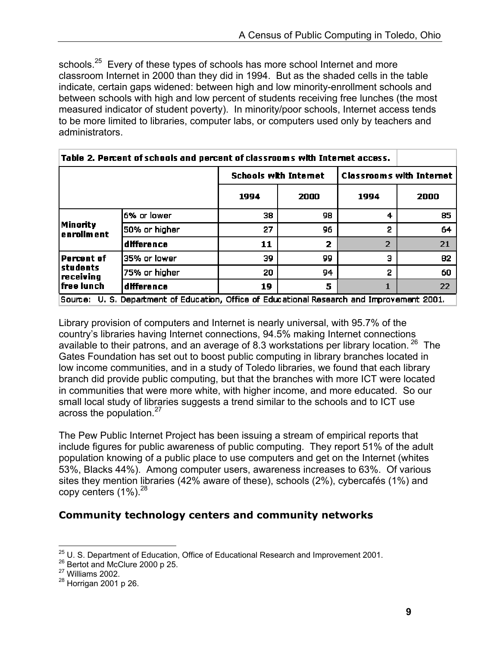schools.<sup>25</sup> Every of these types of schools has more school Internet and more classroom Internet in 2000 than they did in 1994. But as the shaded cells in the table indicate, certain gaps widened: between high and low minority-enrollment schools and between schools with high and low percent of students receiving free lunches (the most measured indicator of student poverty). In minority/poor schools, Internet access tends to be more limited to libraries, computer labs, or computers used only by teachers and administrators.

| Table Z. Percent of Schools and percent of classroom's wide internet access. |                                                                                            |                              |      |      |                                 |  |
|------------------------------------------------------------------------------|--------------------------------------------------------------------------------------------|------------------------------|------|------|---------------------------------|--|
|                                                                              |                                                                                            | <b>Schools with Internet</b> |      |      | <b>Classrooms with Internet</b> |  |
|                                                                              |                                                                                            | 1994                         | 2000 | 1994 | 2000                            |  |
| Minority<br>enrollment                                                       | 6% or lower                                                                                | 38.                          | 98   | 4    | 85                              |  |
|                                                                              | 50% or higher                                                                              | 27                           | 96   | 2    | 64                              |  |
|                                                                              | difference                                                                                 | 11                           | 2    | 2    | -21                             |  |
| <b>Percent of</b><br><b>students</b><br>  receiving<br> free lunch           | 35% or lower                                                                               | 39.                          | 99   | 3    | 82.                             |  |
|                                                                              | 75% or higher                                                                              | 20                           | 94   | 2    | 60                              |  |
|                                                                              | difference                                                                                 | 19                           | 5    | 1    | 22                              |  |
|                                                                              | Source: U.S. Department of Education, Office of Educational Research and Improvement 2001. |                              |      |      |                                 |  |

Library provision of computers and Internet is nearly universal, with 95.7% of the country's libraries having Internet connections, 94.5% making Internet connections available to their patrons, and an average of 8.3 workstations per library location.  $^{26}$  The Gates Foundation has set out to boost public computing in library branches located in low income communities, and in a study of Toledo libraries, we found that each library branch did provide public computing, but that the branches with more ICT were located in communities that were more white, with higher income, and more educated. So our small local study of libraries suggests a trend similar to the schools and to ICT use across the population. $27$ 

The Pew Public Internet Project has been issuing a stream of empirical reports that include figures for public awareness of public computing. They report 51% of the adult population knowing of a public place to use computers and get on the Internet (whites 53%, Blacks 44%). Among computer users, awareness increases to 63%. Of various sites they mention libraries (42% aware of these), schools (2%), cybercafés (1%) and copy centers  $(1\%)$ <sup>28</sup>

### **Community technology centers and community networks**

 $\overline{a}$ 

<sup>&</sup>lt;sup>25</sup> U. S. Department of Education, Office of Educational Research and Improvement 2001.<br><sup>26</sup> Bertot and McClure 2000 p 25.<br><sup>27</sup> Williams 2002.

<sup>28</sup> Horrigan 2001 p 26.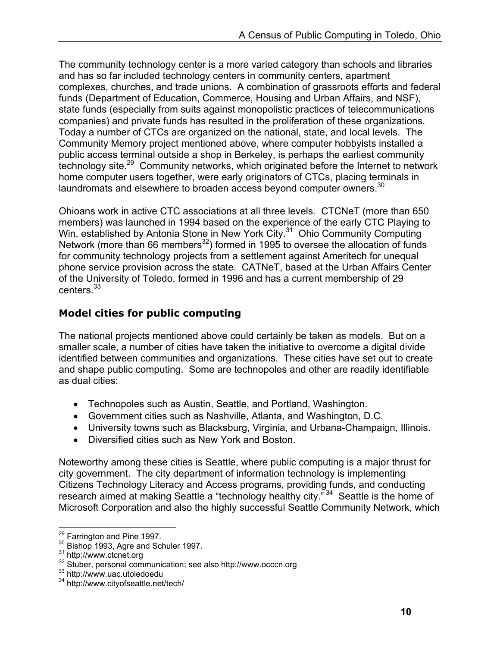The community technology center is a more varied category than schools and libraries and has so far included technology centers in community centers, apartment complexes, churches, and trade unions. A combination of grassroots efforts and federal funds (Department of Education, Commerce, Housing and Urban Affairs, and NSF), state funds (especially from suits against monopolistic practices of telecommunications companies) and private funds has resulted in the proliferation of these organizations. Today a number of CTCs are organized on the national, state, and local levels. The Community Memory project mentioned above, where computer hobbyists installed a public access terminal outside a shop in Berkeley, is perhaps the earliest community technology site.<sup>29</sup> Community networks, which originated before the Internet to network home computer users together, were early originators of CTCs, placing terminals in laundromats and elsewhere to broaden access beyond computer owners.<sup>30</sup>

Ohioans work in active CTC associations at all three levels. CTCNeT (more than 650 members) was launched in 1994 based on the experience of the early CTC Playing to Win, established by Antonia Stone in New York City.<sup>31</sup> Ohio Community Computing Network (more than 66 members<sup>32</sup>) formed in 1995 to oversee the allocation of funds for community technology projects from a settlement against Ameritech for unequal phone service provision across the state. CATNeT, based at the Urban Affairs Center of the University of Toledo, formed in 1996 and has a current membership of 29 centers.33

### **Model cities for public computing**

The national projects mentioned above could certainly be taken as models. But on a smaller scale, a number of cities have taken the initiative to overcome a digital divide identified between communities and organizations. These cities have set out to create and shape public computing. Some are technopoles and other are readily identifiable as dual cities:

- Technopoles such as Austin, Seattle, and Portland, Washington.
- Government cities such as Nashville, Atlanta, and Washington, D.C.
- University towns such as Blacksburg, Virginia, and Urbana-Champaign, Illinois.
- Diversified cities such as New York and Boston.

Noteworthy among these cities is Seattle, where public computing is a major thrust for city government. The city department of information technology is implementing Citizens Technology Literacy and Access programs, providing funds, and conducting research aimed at making Seattle a "technology healthy city."<sup>34</sup> Seattle is the home of Microsoft Corporation and also the highly successful Seattle Community Network, which

 $\overline{a}$ 

<sup>&</sup>lt;sup>29</sup> Farrington and Pine 1997.<br><sup>30</sup> Bishop 1993, Agre and Schuler 1997.<br><sup>31</sup> http://www.ctcnet.org<br><sup>32</sup> Stuber, personal communication; see also http://www.occcn.org<br><sup>33</sup> http://www.uac.utoledoedu<br><sup>34</sup> http://www.cityofse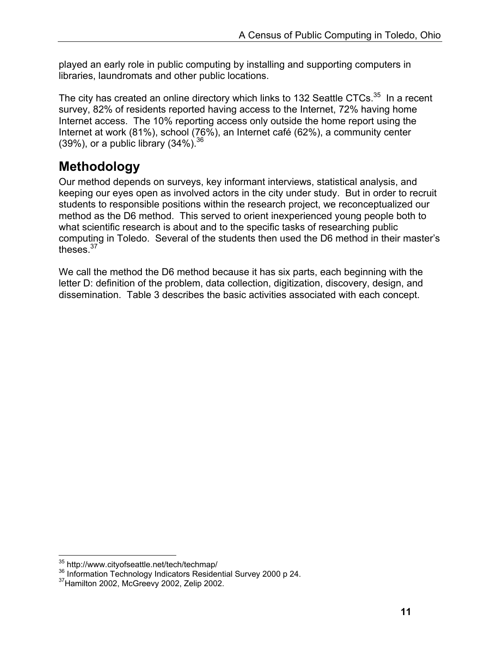played an early role in public computing by installing and supporting computers in libraries, laundromats and other public locations.

The city has created an online directory which links to 132 Seattle CTCs.<sup>35</sup> In a recent survey, 82% of residents reported having access to the Internet, 72% having home Internet access. The 10% reporting access only outside the home report using the Internet at work (81%), school (76%), an Internet café (62%), a community center (39%), or a public library  $(34\%)$ <sup>36</sup>

# **Methodology**

Our method depends on surveys, key informant interviews, statistical analysis, and keeping our eyes open as involved actors in the city under study. But in order to recruit students to responsible positions within the research project, we reconceptualized our method as the D6 method. This served to orient inexperienced young people both to what scientific research is about and to the specific tasks of researching public computing in Toledo. Several of the students then used the D6 method in their master's theses.<sup>37</sup>

We call the method the D6 method because it has six parts, each beginning with the letter D: definition of the problem, data collection, digitization, discovery, design, and dissemination. Table 3 describes the basic activities associated with each concept.

 $\overline{a}$ 

 $\frac{35}{6}$  http://www.cityofseattle.net/tech/techmap/<br> $\frac{36}{3}$  Information Technology Indicators Residential Survey 2000 p 24.  $\frac{37}{4}$ Hamilton 2002, McGreevy 2002, Zelip 2002.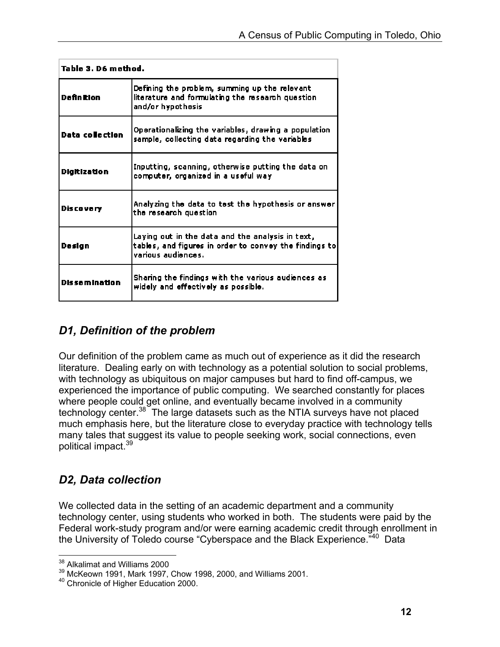| Table 3. D6 method.    |                                                                                                                                  |  |  |  |
|------------------------|----------------------------------------------------------------------------------------------------------------------------------|--|--|--|
| <b>Definition</b>      | Defining the problem, summing up the relevant<br>literature and formulating the research question<br>and/or hypothesis           |  |  |  |
| <b>Data collection</b> | Operationalizing the variables, drawing a population<br>sample, collecting data regarding the variables                          |  |  |  |
| <b>Digitization</b>    | Inputting, scanning, otherwise putting the data on<br>computer, organized in a useful way                                        |  |  |  |
| <b>Discovery</b>       | Analyzing the data to test the hypothesis or answer<br>the research question                                                     |  |  |  |
| <b>Design</b>          | Laying out in the data and the analysis in text,<br>tables, and figures in order to convey the findings to<br>various audiences. |  |  |  |
| <b>Dissemination</b>   | Sharing the findings with the various audiences as<br>widely and effectively as possible.                                        |  |  |  |

## *D1, Definition of the problem*

Our definition of the problem came as much out of experience as it did the research literature. Dealing early on with technology as a potential solution to social problems, with technology as ubiquitous on major campuses but hard to find off-campus, we experienced the importance of public computing. We searched constantly for places where people could get online, and eventually became involved in a community technology center.<sup>38</sup> The large datasets such as the NTIA surveys have not placed much emphasis here, but the literature close to everyday practice with technology tells many tales that suggest its value to people seeking work, social connections, even political impact.39

## *D2, Data collection*

We collected data in the setting of an academic department and a community technology center, using students who worked in both. The students were paid by the Federal work-study program and/or were earning academic credit through enrollment in the University of Toledo course "Cyberspace and the Black Experience.<sup>740</sup> Data

 $\overline{a}$ <sup>38</sup> Alkalimat and Williams 2000

 $\frac{39}{10}$  McKeown 1991, Mark 1997, Chow 1998, 2000, and Williams 2001.

<sup>40</sup> Chronicle of Higher Education 2000.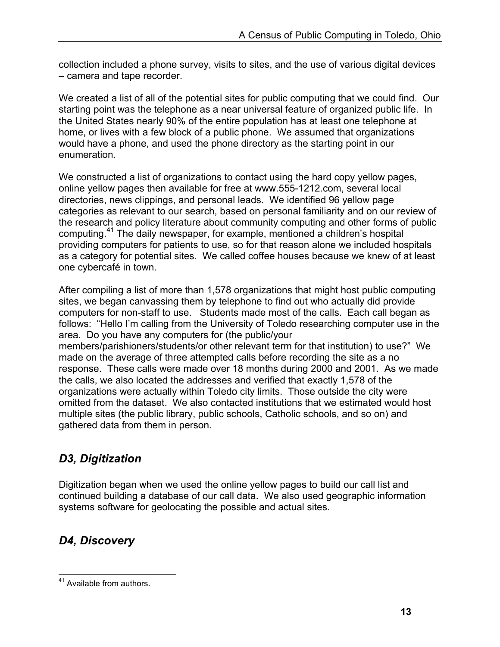collection included a phone survey, visits to sites, and the use of various digital devices – camera and tape recorder.

We created a list of all of the potential sites for public computing that we could find. Our starting point was the telephone as a near universal feature of organized public life. In the United States nearly 90% of the entire population has at least one telephone at home, or lives with a few block of a public phone. We assumed that organizations would have a phone, and used the phone directory as the starting point in our enumeration.

We constructed a list of organizations to contact using the hard copy yellow pages, online yellow pages then available for free at www.555-1212.com, several local directories, news clippings, and personal leads. We identified 96 yellow page categories as relevant to our search, based on personal familiarity and on our review of the research and policy literature about community computing and other forms of public computing.41 The daily newspaper, for example, mentioned a children's hospital providing computers for patients to use, so for that reason alone we included hospitals as a category for potential sites. We called coffee houses because we knew of at least one cybercafé in town.

After compiling a list of more than 1,578 organizations that might host public computing sites, we began canvassing them by telephone to find out who actually did provide computers for non-staff to use. Students made most of the calls. Each call began as follows: "Hello I'm calling from the University of Toledo researching computer use in the area. Do you have any computers for (the public/your members/parishioners/students/or other relevant term for that institution) to use?" We made on the average of three attempted calls before recording the site as a no response. These calls were made over 18 months during 2000 and 2001. As we made the calls, we also located the addresses and verified that exactly 1,578 of the

organizations were actually within Toledo city limits. Those outside the city were omitted from the dataset. We also contacted institutions that we estimated would host multiple sites (the public library, public schools, Catholic schools, and so on) and gathered data from them in person.

## *D3, Digitization*

Digitization began when we used the online yellow pages to build our call list and continued building a database of our call data. We also used geographic information systems software for geolocating the possible and actual sites.

## *D4, Discovery*

 $\overline{a}$ <sup>41</sup> Available from authors.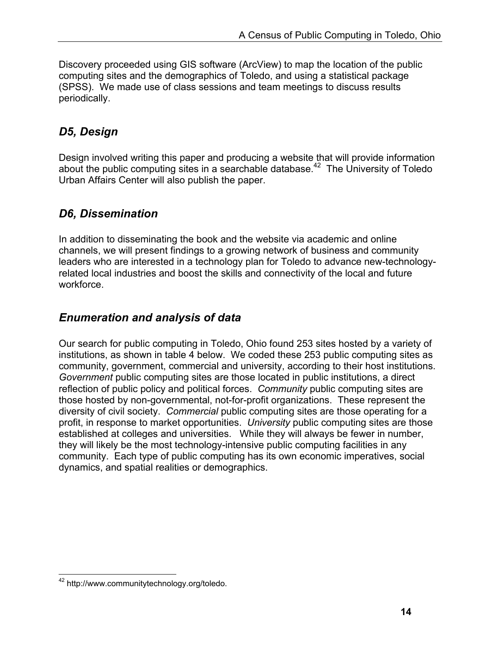Discovery proceeded using GIS software (ArcView) to map the location of the public computing sites and the demographics of Toledo, and using a statistical package (SPSS). We made use of class sessions and team meetings to discuss results periodically.

### *D5, Design*

Design involved writing this paper and producing a website that will provide information about the public computing sites in a searchable database.<sup>42</sup> The University of Toledo Urban Affairs Center will also publish the paper.

### *D6, Dissemination*

In addition to disseminating the book and the website via academic and online channels, we will present findings to a growing network of business and community leaders who are interested in a technology plan for Toledo to advance new-technologyrelated local industries and boost the skills and connectivity of the local and future workforce.

### *Enumeration and analysis of data*

Our search for public computing in Toledo, Ohio found 253 sites hosted by a variety of institutions, as shown in table 4 below. We coded these 253 public computing sites as community, government, commercial and university, according to their host institutions. *Government* public computing sites are those located in public institutions, a direct reflection of public policy and political forces. *Community* public computing sites are those hosted by non-governmental, not-for-profit organizations. These represent the diversity of civil society. *Commercial* public computing sites are those operating for a profit, in response to market opportunities. *University* public computing sites are those established at colleges and universities. While they will always be fewer in number, they will likely be the most technology-intensive public computing facilities in any community. Each type of public computing has its own economic imperatives, social dynamics, and spatial realities or demographics.

 $\overline{a}$ <sup>42</sup> http://www.communitytechnology.org/toledo.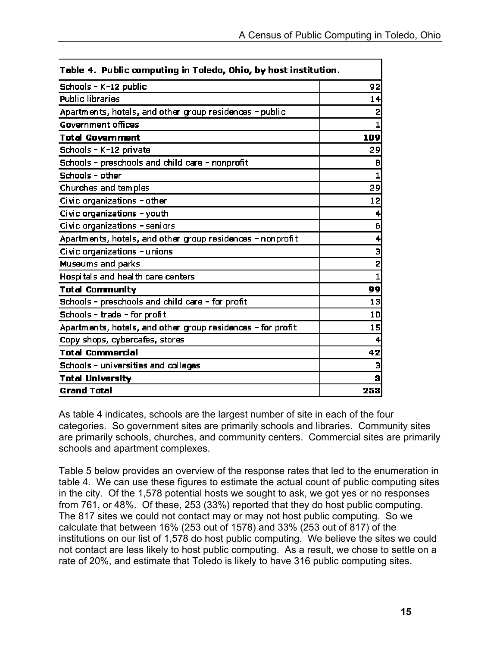| Table 4. Public computing in Toledo, Ohio, by host institution. |                         |  |  |
|-----------------------------------------------------------------|-------------------------|--|--|
| Schools - K-12 public                                           | 92                      |  |  |
| <b>Public libraries</b>                                         | 14                      |  |  |
| Apartments, hotels, and other group residences - public         | $\overline{2}$          |  |  |
| Government offices                                              | 1                       |  |  |
| <b>Total Government</b>                                         | 109                     |  |  |
| Schools - K-12 private                                          | 29                      |  |  |
| Schools - preschools and child care - nonprofit                 | 8                       |  |  |
| Schools - other                                                 | $\mathbf{1}$            |  |  |
| Churches and temples                                            | 29                      |  |  |
| Civic organizations - other                                     | 12                      |  |  |
| Civic organizations - youth                                     | 4                       |  |  |
| Civic organizations - seniors                                   | 6                       |  |  |
| Apartments, hotels, and other group residences - nonprofit      | 4                       |  |  |
| Civic organizations - unions                                    | $\overline{\mathbf{3}}$ |  |  |
| Museums and parks                                               | $\overline{2}$          |  |  |
| Hospitals and health care centers                               | $\mathbf{1}$            |  |  |
| <b>Total Community</b>                                          | 99                      |  |  |
| Schools - preschools and child care - for profit                | 13                      |  |  |
| Schools - trade - for profit                                    | 10                      |  |  |
| Apartments, hotels, and other group residences - for profit     | 15                      |  |  |
| Copy shops, cybercafes, stores                                  | 4                       |  |  |
| <b>Total Commercial</b>                                         | 42                      |  |  |
| Schools - universities and colleges                             | 3                       |  |  |
| <b>Total University</b>                                         | 3                       |  |  |
| <b>Grand Total</b>                                              | 253                     |  |  |

As table 4 indicates, schools are the largest number of site in each of the four categories. So government sites are primarily schools and libraries. Community sites are primarily schools, churches, and community centers. Commercial sites are primarily schools and apartment complexes.

Table 5 below provides an overview of the response rates that led to the enumeration in table 4. We can use these figures to estimate the actual count of public computing sites in the city. Of the 1,578 potential hosts we sought to ask, we got yes or no responses from 761, or 48%. Of these, 253 (33%) reported that they do host public computing. The 817 sites we could not contact may or may not host public computing. So we calculate that between 16% (253 out of 1578) and 33% (253 out of 817) of the institutions on our list of 1,578 do host public computing. We believe the sites we could not contact are less likely to host public computing. As a result, we chose to settle on a rate of 20%, and estimate that Toledo is likely to have 316 public computing sites.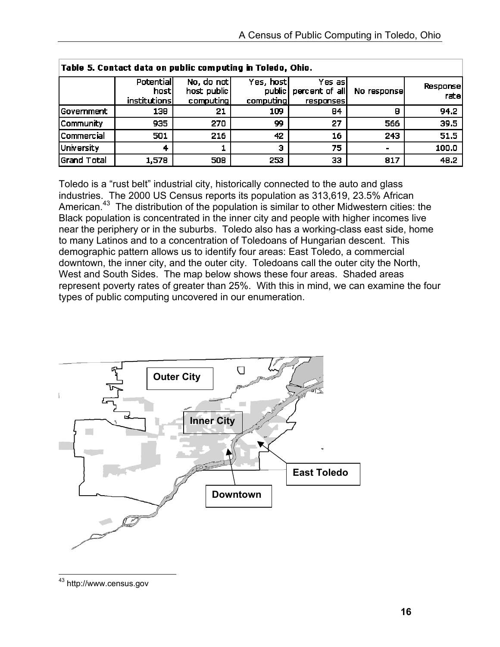| Table 5. Contact data on public computing in Toledo, Ohio. |                                           |                                        |                                     |                                        |             |                   |
|------------------------------------------------------------|-------------------------------------------|----------------------------------------|-------------------------------------|----------------------------------------|-------------|-------------------|
|                                                            | <b>Potential</b><br>hosti<br>institutions | No, do not<br>host public<br>computing | Yes, host <br>public  <br>computing | Yes asl<br>percent of all<br>responses | No response | Response<br>ratel |
| Government                                                 | 138                                       | 21                                     | 109                                 | 84                                     | Β           | 94.2              |
| Community                                                  | 935                                       | 270                                    | 99                                  | 27                                     | 566         | 39.5              |
| Commercial                                                 | 501                                       | 216                                    | 42                                  | 16                                     | 243         | 51.5              |
| University                                                 | 4                                         |                                        | Э                                   | 75                                     |             | 100.0             |
| Grand Total                                                | 1,578                                     | 508                                    | 253                                 | 33                                     | 817         | 48.2              |

Toledo is a "rust belt" industrial city, historically connected to the auto and glass industries. The 2000 US Census reports its population as 313,619, 23.5% African American.<sup>43</sup> The distribution of the population is similar to other Midwestern cities: the Black population is concentrated in the inner city and people with higher incomes live near the periphery or in the suburbs. Toledo also has a working-class east side, home to many Latinos and to a concentration of Toledoans of Hungarian descent. This demographic pattern allows us to identify four areas: East Toledo, a commercial downtown, the inner city, and the outer city. Toledoans call the outer city the North, West and South Sides. The map below shows these four areas. Shaded areas represent poverty rates of greater than 25%. With this in mind, we can examine the four types of public computing uncovered in our enumeration.



 $\overline{a}$ <sup>43</sup> http://www.census.gov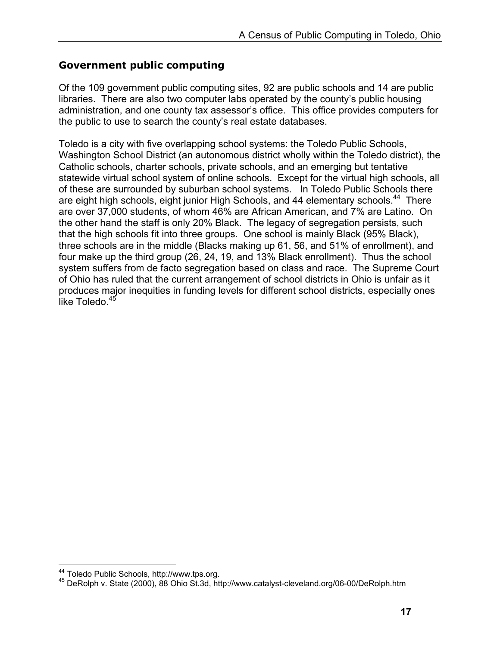### **Government public computing**

Of the 109 government public computing sites, 92 are public schools and 14 are public libraries. There are also two computer labs operated by the county's public housing administration, and one county tax assessor's office. This office provides computers for the public to use to search the county's real estate databases.

Toledo is a city with five overlapping school systems: the Toledo Public Schools, Washington School District (an autonomous district wholly within the Toledo district), the Catholic schools, charter schools, private schools, and an emerging but tentative statewide virtual school system of online schools. Except for the virtual high schools, all of these are surrounded by suburban school systems. In Toledo Public Schools there are eight high schools, eight junior High Schools, and 44 elementary schools.<sup>44</sup> There are over 37,000 students, of whom 46% are African American, and 7% are Latino. On the other hand the staff is only 20% Black. The legacy of segregation persists, such that the high schools fit into three groups. One school is mainly Black (95% Black), three schools are in the middle (Blacks making up 61, 56, and 51% of enrollment), and four make up the third group (26, 24, 19, and 13% Black enrollment). Thus the school system suffers from de facto segregation based on class and race. The Supreme Court of Ohio has ruled that the current arrangement of school districts in Ohio is unfair as it produces major inequities in funding levels for different school districts, especially ones like Toledo.<sup>45</sup>

<sup>&</sup>lt;sup>44</sup> Toledo Public Schools, http://www.tps.org.

<sup>45</sup> DeRolph v. State (2000), 88 Ohio St.3d, http://www.catalyst-cleveland.org/06-00/DeRolph.htm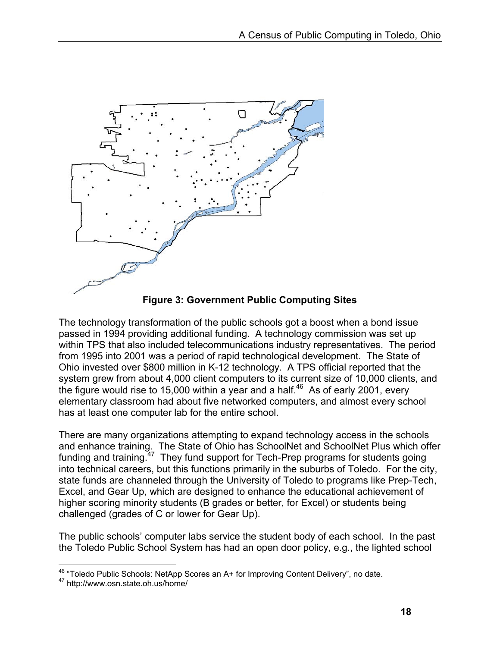

**Figure 3: Government Public Computing Sites** 

The technology transformation of the public schools got a boost when a bond issue passed in 1994 providing additional funding. A technology commission was set up within TPS that also included telecommunications industry representatives. The period from 1995 into 2001 was a period of rapid technological development. The State of Ohio invested over \$800 million in K-12 technology. A TPS official reported that the system grew from about 4,000 client computers to its current size of 10,000 clients, and the figure would rise to 15,000 within a year and a half.<sup>46</sup> As of early 2001, every elementary classroom had about five networked computers, and almost every school has at least one computer lab for the entire school.

There are many organizations attempting to expand technology access in the schools and enhance training. The State of Ohio has SchoolNet and SchoolNet Plus which offer funding and training.<sup>47</sup> They fund support for Tech-Prep programs for students going into technical careers, but this functions primarily in the suburbs of Toledo. For the city, state funds are channeled through the University of Toledo to programs like Prep-Tech, Excel, and Gear Up, which are designed to enhance the educational achievement of higher scoring minority students (B grades or better, for Excel) or students being challenged (grades of C or lower for Gear Up).

The public schools' computer labs service the student body of each school. In the past the Toledo Public School System has had an open door policy, e.g., the lighted school

 $\overline{a}$ <sup>46</sup> "Toledo Public Schools: NetApp Scores an A+ for Improving Content Delivery", no date.<br><sup>47</sup> http://www.osn.state.oh.us/home/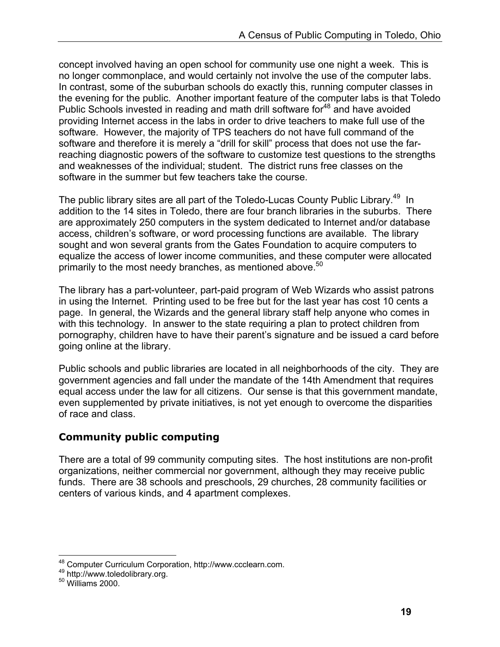concept involved having an open school for community use one night a week. This is no longer commonplace, and would certainly not involve the use of the computer labs. In contrast, some of the suburban schools do exactly this, running computer classes in the evening for the public. Another important feature of the computer labs is that Toledo Public Schools invested in reading and math drill software for<sup>48</sup> and have avoided providing Internet access in the labs in order to drive teachers to make full use of the software. However, the majority of TPS teachers do not have full command of the software and therefore it is merely a "drill for skill" process that does not use the farreaching diagnostic powers of the software to customize test questions to the strengths and weaknesses of the individual; student. The district runs free classes on the software in the summer but few teachers take the course.

The public library sites are all part of the Toledo-Lucas County Public Library.<sup>49</sup> In addition to the 14 sites in Toledo, there are four branch libraries in the suburbs. There are approximately 250 computers in the system dedicated to Internet and/or database access, children's software, or word processing functions are available. The library sought and won several grants from the Gates Foundation to acquire computers to equalize the access of lower income communities, and these computer were allocated primarily to the most needy branches, as mentioned above.<sup>50</sup>

The library has a part-volunteer, part-paid program of Web Wizards who assist patrons in using the Internet. Printing used to be free but for the last year has cost 10 cents a page. In general, the Wizards and the general library staff help anyone who comes in with this technology. In answer to the state requiring a plan to protect children from pornography, children have to have their parent's signature and be issued a card before going online at the library.

Public schools and public libraries are located in all neighborhoods of the city. They are government agencies and fall under the mandate of the 14th Amendment that requires equal access under the law for all citizens. Our sense is that this government mandate, even supplemented by private initiatives, is not yet enough to overcome the disparities of race and class.

### **Community public computing**

There are a total of 99 community computing sites. The host institutions are non-profit organizations, neither commercial nor government, although they may receive public funds. There are 38 schools and preschools, 29 churches, 28 community facilities or centers of various kinds, and 4 apartment complexes.

 $\overline{a}$ <sup>48</sup> Computer Curriculum Corporation, http://www.ccclearn.com.<br><sup>49</sup> http://www.toledolibrary.org.<br><sup>50</sup> Williams 2000.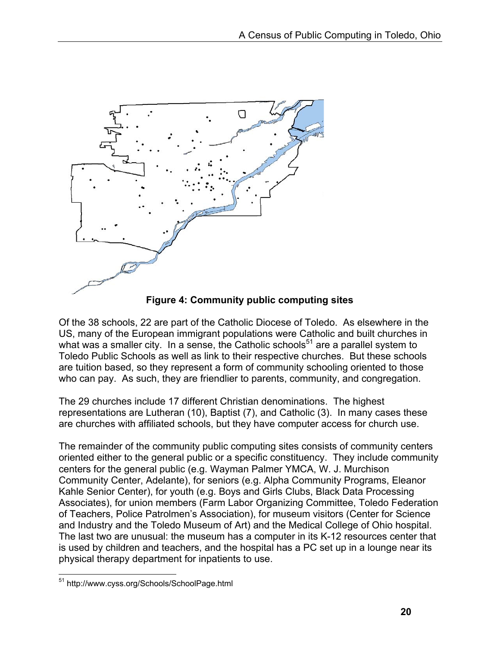

**Figure 4: Community public computing sites** 

Of the 38 schools, 22 are part of the Catholic Diocese of Toledo. As elsewhere in the US, many of the European immigrant populations were Catholic and built churches in what was a smaller city. In a sense, the Catholic schools<sup>51</sup> are a parallel system to Toledo Public Schools as well as link to their respective churches. But these schools are tuition based, so they represent a form of community schooling oriented to those who can pay. As such, they are friendlier to parents, community, and congregation.

The 29 churches include 17 different Christian denominations. The highest representations are Lutheran (10), Baptist (7), and Catholic (3). In many cases these are churches with affiliated schools, but they have computer access for church use.

The remainder of the community public computing sites consists of community centers oriented either to the general public or a specific constituency. They include community centers for the general public (e.g. Wayman Palmer YMCA, W. J. Murchison Community Center, Adelante), for seniors (e.g. Alpha Community Programs, Eleanor Kahle Senior Center), for youth (e.g. Boys and Girls Clubs, Black Data Processing Associates), for union members (Farm Labor Organizing Committee, Toledo Federation of Teachers, Police Patrolmen's Association), for museum visitors (Center for Science and Industry and the Toledo Museum of Art) and the Medical College of Ohio hospital. The last two are unusual: the museum has a computer in its K-12 resources center that is used by children and teachers, and the hospital has a PC set up in a lounge near its physical therapy department for inpatients to use.

 $\overline{a}$ <sup>51</sup> http://www.cyss.org/Schools/SchoolPage.html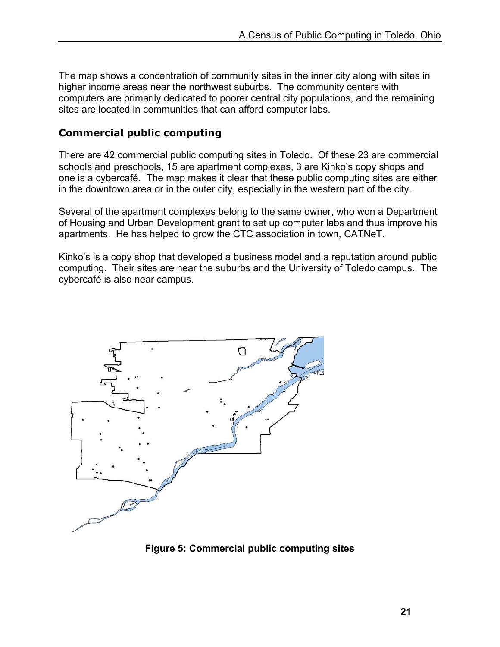The map shows a concentration of community sites in the inner city along with sites in higher income areas near the northwest suburbs. The community centers with computers are primarily dedicated to poorer central city populations, and the remaining sites are located in communities that can afford computer labs.

### **Commercial public computing**

There are 42 commercial public computing sites in Toledo. Of these 23 are commercial schools and preschools, 15 are apartment complexes, 3 are Kinko's copy shops and one is a cybercafé. The map makes it clear that these public computing sites are either in the downtown area or in the outer city, especially in the western part of the city.

Several of the apartment complexes belong to the same owner, who won a Department of Housing and Urban Development grant to set up computer labs and thus improve his apartments. He has helped to grow the CTC association in town, CATNeT.

Kinko's is a copy shop that developed a business model and a reputation around public computing. Their sites are near the suburbs and the University of Toledo campus. The cybercafé is also near campus.



**Figure 5: Commercial public computing sites**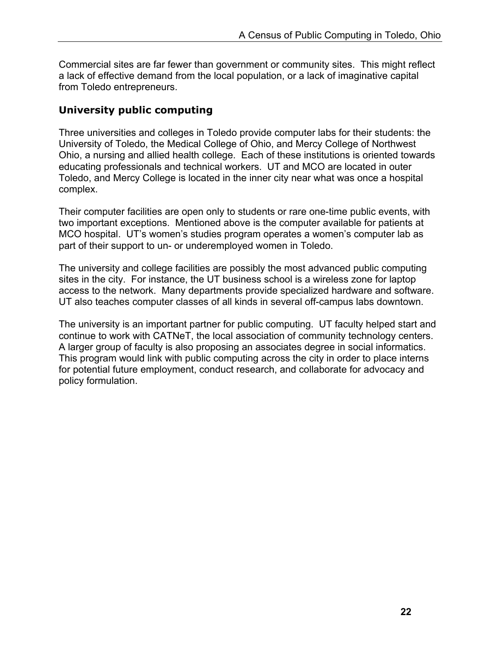Commercial sites are far fewer than government or community sites. This might reflect a lack of effective demand from the local population, or a lack of imaginative capital from Toledo entrepreneurs.

#### **University public computing**

Three universities and colleges in Toledo provide computer labs for their students: the University of Toledo, the Medical College of Ohio, and Mercy College of Northwest Ohio, a nursing and allied health college. Each of these institutions is oriented towards educating professionals and technical workers. UT and MCO are located in outer Toledo, and Mercy College is located in the inner city near what was once a hospital complex.

Their computer facilities are open only to students or rare one-time public events, with two important exceptions. Mentioned above is the computer available for patients at MCO hospital. UT's women's studies program operates a women's computer lab as part of their support to un- or underemployed women in Toledo.

The university and college facilities are possibly the most advanced public computing sites in the city. For instance, the UT business school is a wireless zone for laptop access to the network. Many departments provide specialized hardware and software. UT also teaches computer classes of all kinds in several off-campus labs downtown.

The university is an important partner for public computing. UT faculty helped start and continue to work with CATNeT, the local association of community technology centers. A larger group of faculty is also proposing an associates degree in social informatics. This program would link with public computing across the city in order to place interns for potential future employment, conduct research, and collaborate for advocacy and policy formulation.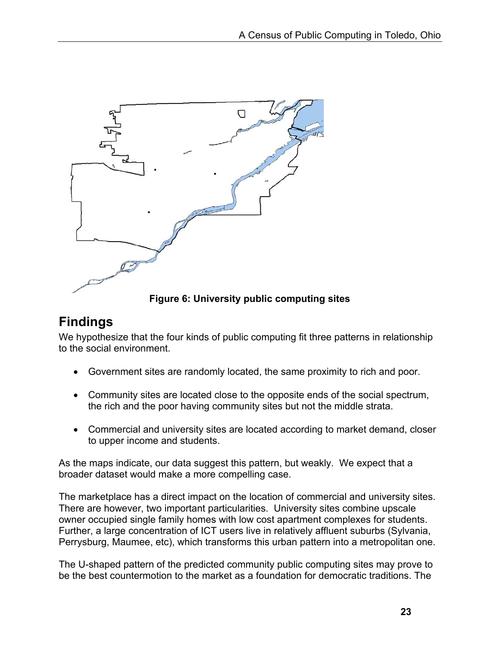

**Figure 6: University public computing sites** 

# **Findings**

We hypothesize that the four kinds of public computing fit three patterns in relationship to the social environment.

- Government sites are randomly located, the same proximity to rich and poor.
- Community sites are located close to the opposite ends of the social spectrum, the rich and the poor having community sites but not the middle strata.
- Commercial and university sites are located according to market demand, closer to upper income and students.

As the maps indicate, our data suggest this pattern, but weakly. We expect that a broader dataset would make a more compelling case.

The marketplace has a direct impact on the location of commercial and university sites. There are however, two important particularities. University sites combine upscale owner occupied single family homes with low cost apartment complexes for students. Further, a large concentration of ICT users live in relatively affluent suburbs (Sylvania, Perrysburg, Maumee, etc), which transforms this urban pattern into a metropolitan one.

The U-shaped pattern of the predicted community public computing sites may prove to be the best countermotion to the market as a foundation for democratic traditions. The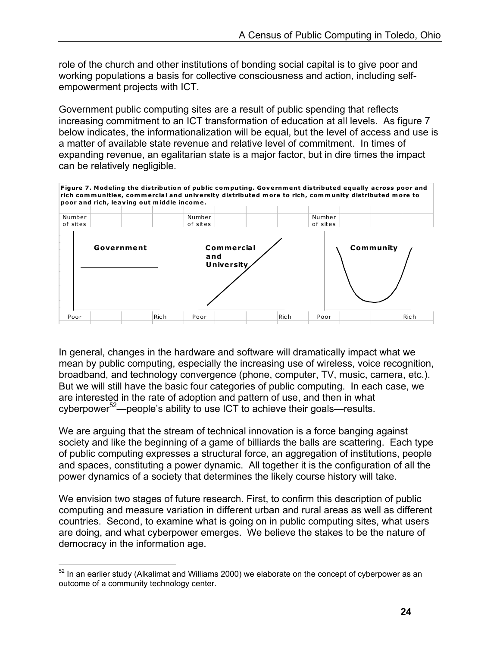role of the church and other institutions of bonding social capital is to give poor and working populations a basis for collective consciousness and action, including selfempowerment projects with ICT.

Government public computing sites are a result of public spending that reflects increasing commitment to an ICT transformation of education at all levels. As figure 7 below indicates, the informationalization will be equal, but the level of access and use is a matter of available state revenue and relative level of commitment. In times of expanding revenue, an egalitarian state is a major factor, but in dire times the impact can be relatively negligible.



In general, changes in the hardware and software will dramatically impact what we mean by public computing, especially the increasing use of wireless, voice recognition, broadband, and technology convergence (phone, computer, TV, music, camera, etc.). But we will still have the basic four categories of public computing. In each case, we are interested in the rate of adoption and pattern of use, and then in what cyberpower<sup>52</sup>—people's ability to use ICT to achieve their goals—results.

We are arguing that the stream of technical innovation is a force banging against society and like the beginning of a game of billiards the balls are scattering. Each type of public computing expresses a structural force, an aggregation of institutions, people and spaces, constituting a power dynamic. All together it is the configuration of all the power dynamics of a society that determines the likely course history will take.

We envision two stages of future research. First, to confirm this description of public computing and measure variation in different urban and rural areas as well as different countries. Second, to examine what is going on in public computing sites, what users are doing, and what cyberpower emerges. We believe the stakes to be the nature of democracy in the information age.

 $\overline{a}$  $52$  In an earlier study (Alkalimat and Williams 2000) we elaborate on the concept of cyberpower as an outcome of a community technology center.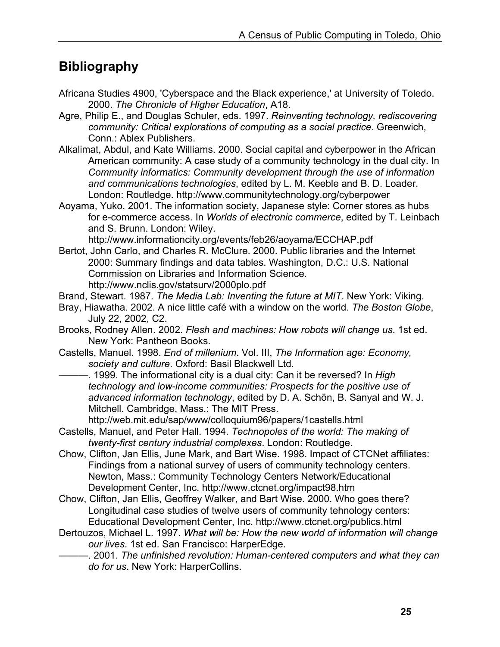## **Bibliography**

- Africana Studies 4900, 'Cyberspace and the Black experience,' at University of Toledo. 2000. *The Chronicle of Higher Education*, A18.
- Agre, Philip E., and Douglas Schuler, eds. 1997. *Reinventing technology, rediscovering community: Critical explorations of computing as a social practice*. Greenwich, Conn.: Ablex Publishers.
- Alkalimat, Abdul, and Kate Williams. 2000. Social capital and cyberpower in the African American community: A case study of a community technology in the dual city. In *Community informatics: Community development through the use of information and communications technologies*, edited by L. M. Keeble and B. D. Loader. London: Routledge. http://www.communitytechnology.org/cyberpower
- Aoyama, Yuko. 2001. The information society, Japanese style: Corner stores as hubs for e-commerce access. In *Worlds of electronic commerce*, edited by T. Leinbach and S. Brunn. London: Wiley.

http://www.informationcity.org/events/feb26/aoyama/ECCHAP.pdf

- Bertot, John Carlo, and Charles R. McClure. 2000. Public libraries and the Internet 2000: Summary findings and data tables. Washington, D.C.: U.S. National Commission on Libraries and Information Science. http://www.nclis.gov/statsurv/2000plo.pdf
- Brand, Stewart. 1987. *The Media Lab: Inventing the future at MIT*. New York: Viking.
- Bray, Hiawatha. 2002. A nice little café with a window on the world. *The Boston Globe*, July 22, 2002, C2.
- Brooks, Rodney Allen. 2002. *Flesh and machines: How robots will change us*. 1st ed. New York: Pantheon Books.
- Castells, Manuel. 1998. *End of millenium*. Vol. III, *The Information age: Economy, society and culture*. Oxford: Basil Blackwell Ltd.
- -. 1999. The informational city is a dual city: Can it be reversed? In *High technology and low-income communities: Prospects for the positive use of advanced information technology*, edited by D. A. Schön, B. Sanyal and W. J. Mitchell. Cambridge, Mass.: The MIT Press.
	- http://web.mit.edu/sap/www/colloquium96/papers/1castells.html
- Castells, Manuel, and Peter Hall. 1994. *Technopoles of the world: The making of twenty-first century industrial complexes*. London: Routledge.
- Chow, Clifton, Jan Ellis, June Mark, and Bart Wise. 1998. Impact of CTCNet affiliates: Findings from a national survey of users of community technology centers. Newton, Mass.: Community Technology Centers Network/Educational Development Center, Inc. http://www.ctcnet.org/impact98.htm
- Chow, Clifton, Jan Ellis, Geoffrey Walker, and Bart Wise. 2000. Who goes there? Longitudinal case studies of twelve users of community tehnology centers: Educational Development Center, Inc. http://www.ctcnet.org/publics.html
- Dertouzos, Michael L. 1997. *What will be: How the new world of information will change our lives*. 1st ed. San Francisco: HarperEdge.

———. 2001. *The unfinished revolution: Human-centered computers and what they can do for us*. New York: HarperCollins.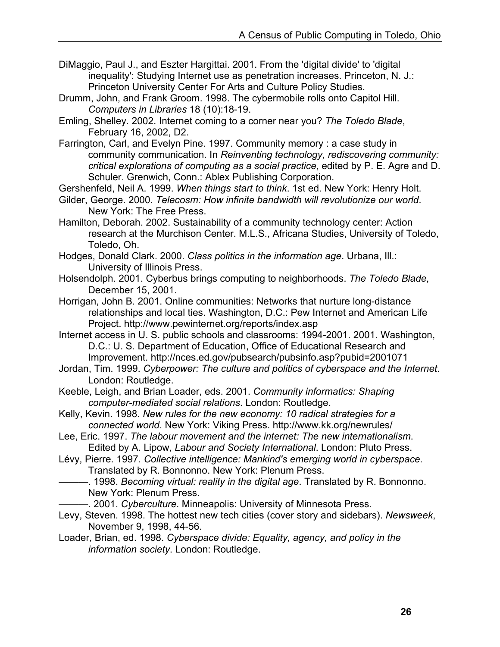- DiMaggio, Paul J., and Eszter Hargittai. 2001. From the 'digital divide' to 'digital inequality': Studying Internet use as penetration increases. Princeton, N. J.: Princeton University Center For Arts and Culture Policy Studies.
- Drumm, John, and Frank Groom. 1998. The cybermobile rolls onto Capitol Hill. *Computers in Libraries* 18 (10):18-19.
- Emling, Shelley. 2002. Internet coming to a corner near you? *The Toledo Blade*, February 16, 2002, D2.
- Farrington, Carl, and Evelyn Pine. 1997. Community memory : a case study in community communication. In *Reinventing technology, rediscovering community: critical explorations of computing as a social practice*, edited by P. E. Agre and D. Schuler. Grenwich, Conn.: Ablex Publishing Corporation.
- Gershenfeld, Neil A. 1999. *When things start to think*. 1st ed. New York: Henry Holt.
- Gilder, George. 2000. *Telecosm: How infinite bandwidth will revolutionize our world*. New York: The Free Press.
- Hamilton, Deborah. 2002. Sustainability of a community technology center: Action research at the Murchison Center. M.L.S., Africana Studies, University of Toledo, Toledo, Oh.
- Hodges, Donald Clark. 2000. *Class politics in the information age*. Urbana, Ill.: University of Illinois Press.
- Holsendolph. 2001. Cyberbus brings computing to neighborhoods. *The Toledo Blade*, December 15, 2001.
- Horrigan, John B. 2001. Online communities: Networks that nurture long-distance relationships and local ties. Washington, D.C.: Pew Internet and American Life Project. http://www.pewinternet.org/reports/index.asp
- Internet access in U. S. public schools and classrooms: 1994-2001. 2001. Washington, D.C.: U. S. Department of Education, Office of Educational Research and Improvement. http://nces.ed.gov/pubsearch/pubsinfo.asp?pubid=2001071
- Jordan, Tim. 1999. *Cyberpower: The culture and politics of cyberspace and the Internet*. London: Routledge.
- Keeble, Leigh, and Brian Loader, eds. 2001. *Community informatics: Shaping computer-mediated social relations*. London: Routledge.
- Kelly, Kevin. 1998. *New rules for the new economy: 10 radical strategies for a connected world*. New York: Viking Press. http://www.kk.org/newrules/
- Lee, Eric. 1997. *The labour movement and the internet: The new internationalism*. Edited by A. Lipow, *Labour and Society International*. London: Pluto Press.
- Lévy, Pierre. 1997. *Collective intelligence: Mankind's emerging world in cyberspace*. Translated by R. Bonnonno. New York: Plenum Press.
	- -. 1998. *Becoming virtual: reality in the digital age*. Translated by R. Bonnonno. New York: Plenum Press.
- ———. 2001. *Cyberculture*. Minneapolis: University of Minnesota Press.
- Levy, Steven. 1998. The hottest new tech cities (cover story and sidebars). *Newsweek*, November 9, 1998, 44-56.
- Loader, Brian, ed. 1998. *Cyberspace divide: Equality, agency, and policy in the information society*. London: Routledge.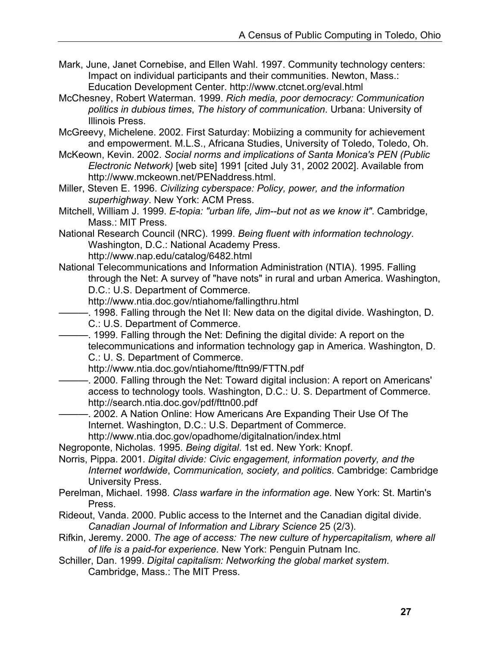- Mark, June, Janet Cornebise, and Ellen Wahl. 1997. Community technology centers: Impact on individual participants and their communities. Newton, Mass.: Education Development Center. http://www.ctcnet.org/eval.html
- McChesney, Robert Waterman. 1999. *Rich media, poor democracy: Communication politics in dubious times*, *The history of communication*. Urbana: University of Illinois Press.
- McGreevy, Michelene. 2002. First Saturday: Mobiizing a community for achievement and empowerment. M.L.S., Africana Studies, University of Toledo, Toledo, Oh.
- McKeown, Kevin. 2002. *Social norms and implications of Santa Monica's PEN (Public Electronic Network)* [web site] 1991 [cited July 31, 2002 2002]. Available from http://www.mckeown.net/PENaddress.html.
- Miller, Steven E. 1996. *Civilizing cyberspace: Policy, power, and the information superhighway*. New York: ACM Press.
- Mitchell, William J. 1999. *E-topia: "urban life, Jim--but not as we know it"*. Cambridge, Mass.: MIT Press.
- National Research Council (NRC). 1999. *Being fluent with information technology*. Washington, D.C.: National Academy Press.

http://www.nap.edu/catalog/6482.html

- National Telecommunications and Information Administration (NTIA). 1995. Falling through the Net: A survey of "have nots" in rural and urban America. Washington, D.C.: U.S. Department of Commerce.
	- http://www.ntia.doc.gov/ntiahome/fallingthru.html
	- -. 1998. Falling through the Net II: New data on the digital divide. Washington, D. C.: U.S. Department of Commerce.
- -. 1999. Falling through the Net: Defining the digital divide: A report on the telecommunications and information technology gap in America. Washington, D. C.: U. S. Department of Commerce.

http://www.ntia.doc.gov/ntiahome/fttn99/FTTN.pdf

- -. 2000. Falling through the Net: Toward digital inclusion: A report on Americans' access to technology tools. Washington, D.C.: U. S. Department of Commerce. http://search.ntia.doc.gov/pdf/fttn00.pdf
- -. 2002. A Nation Online: How Americans Are Expanding Their Use Of The Internet. Washington, D.C.: U.S. Department of Commerce. http://www.ntia.doc.gov/opadhome/digitalnation/index.html

Negroponte, Nicholas. 1995. *Being digital*. 1st ed. New York: Knopf.

- Norris, Pippa. 2001. *Digital divide: Civic engagement, information poverty, and the Internet worldwide*, *Communication, society, and politics*. Cambridge: Cambridge University Press.
- Perelman, Michael. 1998. *Class warfare in the information age*. New York: St. Martin's Press.
- Rideout, Vanda. 2000. Public access to the Internet and the Canadian digital divide. *Canadian Journal of Information and Library Science* 25 (2/3).
- Rifkin, Jeremy. 2000. *The age of access: The new culture of hypercapitalism, where all of life is a paid-for experience*. New York: Penguin Putnam Inc.
- Schiller, Dan. 1999. *Digital capitalism: Networking the global market system*. Cambridge, Mass.: The MIT Press.